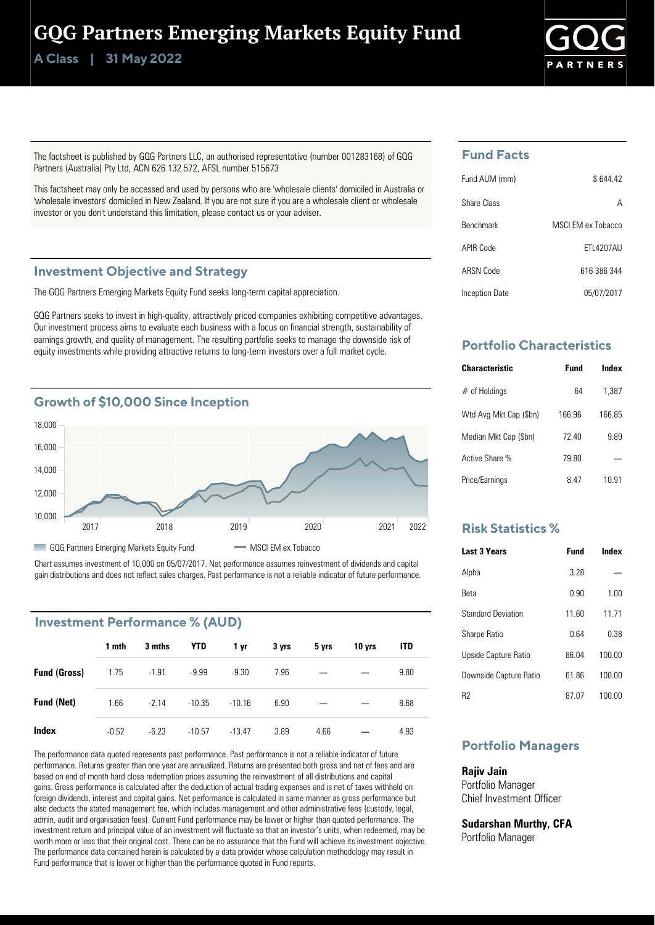# GQG Partners Emerging Markets Equity Fund

**Class | A 31 May 2022**



The factsheet is published by GQG Partners LLC, an authorised representative (number 001283168) of GQG Partners (Australia) Pty Ltd, ACN 626 132 572, AFSL number 515673

This factsheet may only be accessed and used by persons who are 'wholesale clients' domiciled in Australia or 'wholesale investors' domiciled in New Zealand. If you are not sure if you are a wholesale client or wholesale investor or you don't understand this limitation, please contact us or your adviser.

### **Investment Objective and Strategy**

The GQG Partners Emerging Markets Equity Fund seeks long-term capital appreciation.

GQG Partners seeks to invest in high-quality, attractively priced companies exhibiting competitive advantages. Our investment process aims to evaluate each business with a focus on financial strength, sustainability of earnings growth, and quality of management. The resulting portfolio seeks to manage the downside risk of equity investments while providing attractive returns to long-term investors over a full market cycle.



Chart assumes investment of 10,000 on 05/07/2017. Net performance assumes reinvestment of dividends and capital gain distributions and does not reflect sales charges. Past performance is not a reliable indicator of future performance.

# **Investment Performance % (AUD)**

|                     | 1 mth   | 3 mths  | YTD      | 1 yr     | 3 yrs | 5 yrs | 10 yrs | <b>ITD</b> |
|---------------------|---------|---------|----------|----------|-------|-------|--------|------------|
| <b>Fund (Gross)</b> | 1.75    | $-1.91$ | $-9.99$  | $-9.30$  | 7.96  |       |        | 9.80       |
| <b>Fund (Net)</b>   | 1.66    | $-2.14$ | $-10.35$ | $-10.16$ | 6.90  |       |        | 8.68       |
| Index               | $-0.52$ | $-6.23$ | $-10.57$ | $-13.47$ | 3.89  | 4.66  |        | 4.93       |

The performance data quoted represents past performance. Past performance is not a reliable indicator of future performance. Returns greater than one year are annualized. Returns are presented both gross and net of fees and are based on end of month hard close redemption prices assuming the reinvestment of all distributions and capital gains. Gross performance is calculated after the deduction of actual trading expenses and is net of taxes withheld on foreign dividends, interest and capital gains. Net performance is calculated in same manner as gross performance but also deducts the stated management fee, which includes management and other administrative fees (custody, legal, admin, audit and organisation fees). Current Fund performance may be lower or higher than quoted performance. The investment return and principal value of an investment will fluctuate so that an investor's units, when redeemed, may be worth more or less that their original cost. There can be no assurance that the Fund will achieve its investment objective. The performance data contained herein is calculated by a data provider whose calculation methodology may result in Fund performance that is lower or higher than the performance quoted in Fund reports.

# **Fund Facts**

| Fund AUM (mm)    | \$644.42          |
|------------------|-------------------|
| Share Class      | А                 |
| <b>Benchmark</b> | MSCLEM ex Tobacco |
| APIR Code        | <b>FTI 4207AU</b> |
| ARSN Code        | 616 386 344       |
| Inception Date   | 05/07/2017        |

# **Portfolio Characteristics**

| <b>Characteristic</b>  | Fund   | Index |
|------------------------|--------|-------|
| $#$ of Holdings        | 64     | 1.387 |
| Wtd Avg Mkt Cap (\$bn) | 166.96 | 16685 |
| Median Mkt Cap (\$bn)  | 7240   | 9.89  |
| Active Share %         | 79.80  |       |
| Price/Earnings         | 8 47   | 10 91 |

## **Risk Statistics %**

| <b>Last 3 Years</b>       | Fund  | Index  |
|---------------------------|-------|--------|
| Alpha                     | 3 28  |        |
| Reta                      | N 90  | 1.00   |
| <b>Standard Deviation</b> | 11 60 | 11 71  |
| <b>Sharpe Ratio</b>       | በ 64  | በ 38   |
| Upside Capture Ratio      | 86.04 | 100.00 |
| Downside Capture Ratio    | 6186  | 100.00 |
| R2                        | 87 07 | 100.00 |

# **Portfolio Managers**

### **Rajiv Jain**

Portfolio Manager Chief Investment Officer

**Sudarshan Murthy, CFA** Portfolio Manager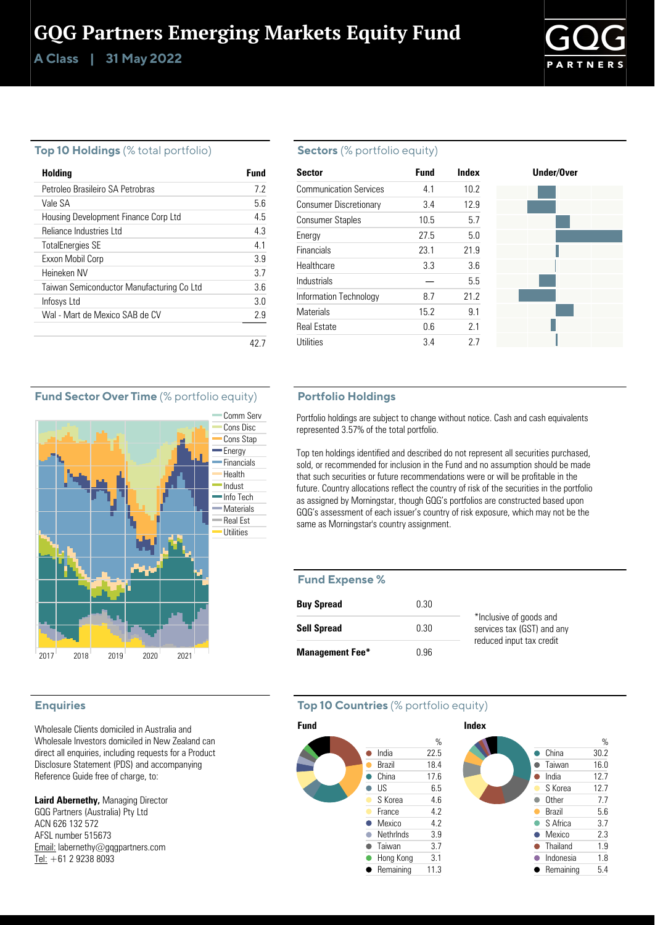# GQG Partners Emerging Markets Equity Fund

**Class | A 31 May 2022**



### **Top 10 Holdings** (% total portfolio)

| Holding                                   | Fund |
|-------------------------------------------|------|
| Petroleo Brasileiro SA Petrobras          | 72   |
| Vale SA                                   | 56   |
| Housing Development Finance Corp Ltd      | 45   |
| Reliance Industries Ltd                   | 4.3  |
| <b>TotalEnergies SE</b>                   | 41   |
| Exxon Mobil Corp                          | 3.9  |
| Heineken NV                               | 37   |
| Taiwan Semiconductor Manufacturing Co Ltd | 36   |
| Infosys Ltd                               | 3 O  |
| Wal - Mart de Mexico SAB de CV            | 29   |
|                                           |      |
|                                           |      |

### **Sectors** (% portfolio equity)

| <b>Sector</b>                 | <b>Fund</b> | Index | Under/Over |
|-------------------------------|-------------|-------|------------|
| <b>Communication Services</b> | 4.1         | 10.2  |            |
| <b>Consumer Discretionary</b> | 3.4         | 12.9  |            |
| <b>Consumer Staples</b>       | 10.5        | 5.7   |            |
| Energy                        | 27.5        | 5.0   |            |
| <b>Financials</b>             | 23.1        | 21.9  |            |
| Healthcare                    | 3.3         | 3.6   |            |
| Industrials                   |             | 5.5   |            |
| Information Technology        | 8.7         | 21.2  |            |
| <b>Materials</b>              | 15.2        | 9.1   |            |
| <b>Real Estate</b>            | 0.6         | 2.1   |            |
| Utilities                     | 3.4         | 27    |            |

### **Fund Sector Over Time** (% portfolio equity)



### **Enquiries**

Wholesale Clients domiciled in Australia and Wholesale Investors domiciled in New Zealand can direct all enquiries, including requests for a Product Disclosure Statement (PDS) and accompanying Reference Guide free of charge, to:

**Laird Abernethy,** Managing Director GQG Partners (Australia) Pty Ltd ACN 626 132 572 AFSL number 515673 Email: labernethy@gqgpartners.com Tel: +61 2 9238 8093

### **Portfolio Holdings**

Portfolio holdings are subject to change without notice. Cash and cash equivalents represented 3.57% of the total portfolio.

Top ten holdings identified and described do not represent all securities purchased, sold, or recommended for inclusion in the Fund and no assumption should be made that such securities or future recommendations were or will be profitable in the future. Country allocations reflect the country of risk of the securities in the portfolio as assigned by Morningstar, though GQG's portfolios are constructed based upon GQG's assessment of each issuer's country of risk exposure, which may not be the same as Morningstar's country assignment.

#### **Fund Expense %**

| <b>Buy Spread</b>      | 0.30 |                                                       |
|------------------------|------|-------------------------------------------------------|
| <b>Sell Spread</b>     | 0.30 | *Inclusive of goods and<br>services tax (GST) and any |
| <b>Management Fee*</b> | በ 96 | reduced input tax credit                              |

### **Top 10 Countries** (% portfolio equity)